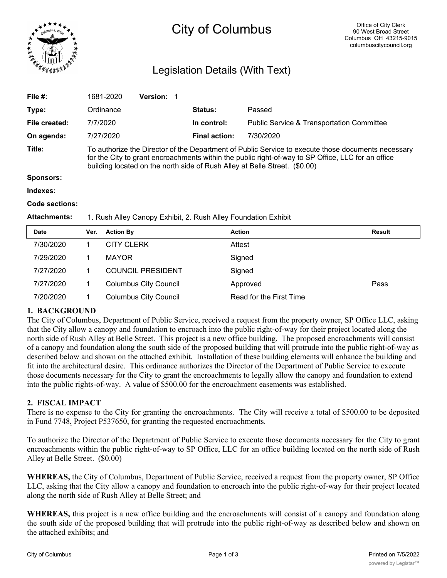

# City of Columbus

# Legislation Details (With Text)

| File #:             | 1681-2020                                                                                                                                                                                                                                                                              | <b>Version:</b> |                      |                                                      |  |  |
|---------------------|----------------------------------------------------------------------------------------------------------------------------------------------------------------------------------------------------------------------------------------------------------------------------------------|-----------------|----------------------|------------------------------------------------------|--|--|
| Type:               | Ordinance                                                                                                                                                                                                                                                                              |                 | <b>Status:</b>       | Passed                                               |  |  |
| File created:       | 7/7/2020                                                                                                                                                                                                                                                                               |                 | In control:          | <b>Public Service &amp; Transportation Committee</b> |  |  |
| On agenda:          | 7/27/2020                                                                                                                                                                                                                                                                              |                 | <b>Final action:</b> | 7/30/2020                                            |  |  |
| Title:              | To authorize the Director of the Department of Public Service to execute those documents necessary<br>for the City to grant encroachments within the public right-of-way to SP Office, LLC for an office<br>building located on the north side of Rush Alley at Belle Street. (\$0.00) |                 |                      |                                                      |  |  |
| <b>Sponsors:</b>    |                                                                                                                                                                                                                                                                                        |                 |                      |                                                      |  |  |
| Indexes:            |                                                                                                                                                                                                                                                                                        |                 |                      |                                                      |  |  |
| Code sections:      |                                                                                                                                                                                                                                                                                        |                 |                      |                                                      |  |  |
| <b>Attachments:</b> | 1. Rush Alley Canopy Exhibit, 2. Rush Alley Foundation Exhibit                                                                                                                                                                                                                         |                 |                      |                                                      |  |  |
|                     |                                                                                                                                                                                                                                                                                        |                 |                      |                                                      |  |  |

| <b>Date</b> | Ver. | <b>Action By</b>             | <b>Action</b>           | Result |
|-------------|------|------------------------------|-------------------------|--------|
| 7/30/2020   |      | <b>CITY CLERK</b>            | Attest                  |        |
| 7/29/2020   |      | <b>MAYOR</b>                 | Signed                  |        |
| 7/27/2020   |      | <b>COUNCIL PRESIDENT</b>     | Signed                  |        |
| 7/27/2020   |      | <b>Columbus City Council</b> | Approved                | Pass   |
| 7/20/2020   |      | <b>Columbus City Council</b> | Read for the First Time |        |

## **1. BACKGROUND**

The City of Columbus, Department of Public Service, received a request from the property owner, SP Office LLC, asking that the City allow a canopy and foundation to encroach into the public right-of-way for their project located along the north side of Rush Alley at Belle Street. This project is a new office building. The proposed encroachments will consist of a canopy and foundation along the south side of the proposed building that will protrude into the public right-of-way as described below and shown on the attached exhibit. Installation of these building elements will enhance the building and fit into the architectural desire. This ordinance authorizes the Director of the Department of Public Service to execute those documents necessary for the City to grant the encroachments to legally allow the canopy and foundation to extend into the public rights-of-way. A value of \$500.00 for the encroachment easements was established.

## **2. FISCAL IMPACT**

There is no expense to the City for granting the encroachments. The City will receive a total of \$500.00 to be deposited in Fund 7748, Project P537650, for granting the requested encroachments.

To authorize the Director of the Department of Public Service to execute those documents necessary for the City to grant encroachments within the public right-of-way to SP Office, LLC for an office building located on the north side of Rush Alley at Belle Street. (\$0.00)

**WHEREAS,** the City of Columbus, Department of Public Service, received a request from the property owner, SP Office LLC, asking that the City allow a canopy and foundation to encroach into the public right-of-way for their project located along the north side of Rush Alley at Belle Street; and

**WHEREAS,** this project is a new office building and the encroachments will consist of a canopy and foundation along the south side of the proposed building that will protrude into the public right-of-way as described below and shown on the attached exhibits; and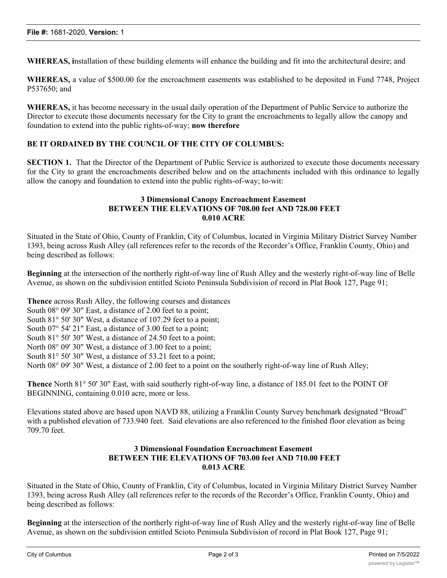**WHEREAS, i**nstallation of these building elements will enhance the building and fit into the architectural desire; and

**WHEREAS,** a value of \$500.00 for the encroachment easements was established to be deposited in Fund 7748, Project P537650; and

**WHEREAS,** it has become necessary in the usual daily operation of the Department of Public Service to authorize the Director to execute those documents necessary for the City to grant the encroachments to legally allow the canopy and foundation to extend into the public rights-of-way; **now therefore**

#### **BE IT ORDAINED BY THE COUNCIL OF THE CITY OF COLUMBUS:**

**SECTION 1.** That the Director of the Department of Public Service is authorized to execute those documents necessary for the City to grant the encroachments described below and on the attachments included with this ordinance to legally allow the canopy and foundation to extend into the public rights-of-way; to-wit:

#### **3 Dimensional Canopy Encroachment Easement BETWEEN THE ELEVATIONS OF 708.00 feet AND 728.00 FEET 0.010 ACRE**

Situated in the State of Ohio, County of Franklin, City of Columbus, located in Virginia Military District Survey Number 1393, being across Rush Alley (all references refer to the records of the Recorder's Office, Franklin County, Ohio) and being described as follows:

**Beginning** at the intersection of the northerly right-of-way line of Rush Alley and the westerly right-of-way line of Belle Avenue, as shown on the subdivision entitled Scioto Peninsula Subdivision of record in Plat Book 127, Page 91;

**Thence** across Rush Alley, the following courses and distances

South 08° 09' 30" East, a distance of 2.00 feet to a point;

South 81° 50' 30" West, a distance of 107.29 feet to a point;

South 07° 54' 21" East, a distance of 3.00 feet to a point;

South 81° 50' 30" West, a distance of 24.50 feet to a point;

North  $08^{\circ}$  09' 30" West, a distance of 3.00 feet to a point;

South 81° 50' 30" West, a distance of 53.21 feet to a point;

North 08° 09' 30" West, a distance of 2.00 feet to a point on the southerly right-of-way line of Rush Alley;

**Thence** North 81° 50' 30" East, with said southerly right-of-way line, a distance of 185.01 feet to the POINT OF BEGINNING, containing 0.010 acre, more or less.

Elevations stated above are based upon NAVD 88, utilizing a Franklin County Survey benchmark designated "Broad" with a published elevation of 733.940 feet. Said elevations are also referenced to the finished floor elevation as being 709.70 feet.

#### **3 Dimensional Foundation Encroachment Easement BETWEEN THE ELEVATIONS OF 703.00 feet AND 710.00 FEET 0.013 ACRE**

Situated in the State of Ohio, County of Franklin, City of Columbus, located in Virginia Military District Survey Number 1393, being across Rush Alley (all references refer to the records of the Recorder's Office, Franklin County, Ohio) and being described as follows:

**Beginning** at the intersection of the northerly right-of-way line of Rush Alley and the westerly right-of-way line of Belle Avenue, as shown on the subdivision entitled Scioto Peninsula Subdivision of record in Plat Book 127, Page 91;